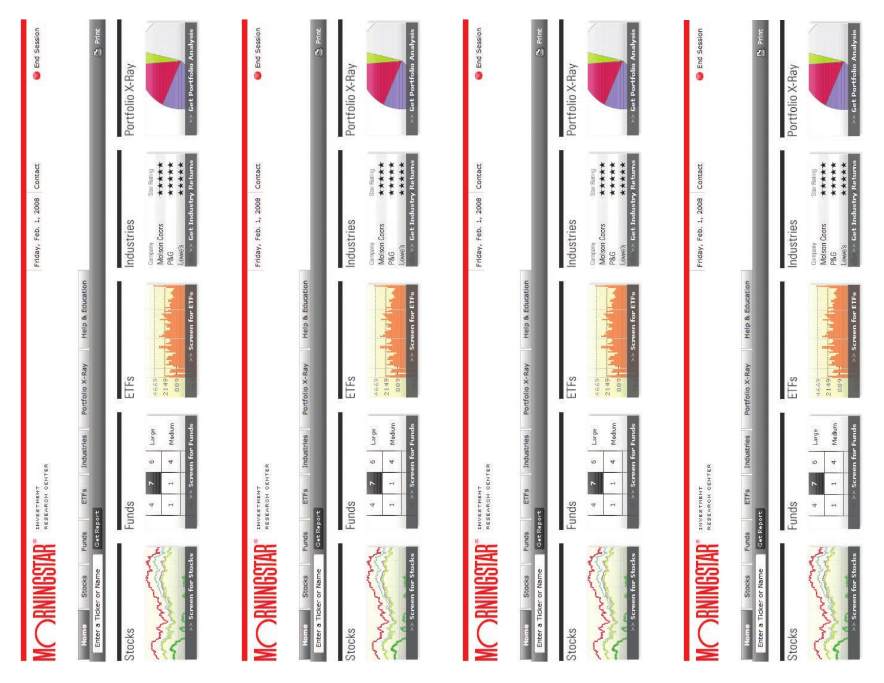| <b>RAINGSTAR</b>                                         | INVESTMENT<br>RESEARCH CENTER                                                                      |                                                                                                                                                                                | Friday, Feb. 1, 2008 Contact                                                                                                                   | End Session               |
|----------------------------------------------------------|----------------------------------------------------------------------------------------------------|--------------------------------------------------------------------------------------------------------------------------------------------------------------------------------|------------------------------------------------------------------------------------------------------------------------------------------------|---------------------------|
| Funds<br>Enter a Ticker or Name<br>Stocks<br><b>Home</b> | Industries<br>ETFS<br>Get Report                                                                   | Help & Education<br>Portfolio X-Ray                                                                                                                                            |                                                                                                                                                | <b>B</b> Print            |
| Stocks                                                   | S<br>$\mathbb{R}$                                                                                  | <b>IF</b> <sub>s</sub>                                                                                                                                                         | Industries                                                                                                                                     | Portfolio X-Ray           |
| Screen for Stocks                                        | Screen for Funds<br>Medium<br>Large<br>$\omega$<br>4<br>$\overline{ }$<br>P.<br>$\rightarrow$<br>4 | $>$ Screen for ETFs<br><b>FRANCISCO</b><br>57172<br>4669                                                                                                                       | >> Get Industry Returns<br>*****<br>*****<br>*****<br>Star Rating<br>Molson Coors<br>Company<br>Lowe's<br>P&G                                  | Get Portfolio Analysis    |
|                                                          |                                                                                                    |                                                                                                                                                                                |                                                                                                                                                |                           |
| <b>RAINGSTAR</b>                                         | INVESTMENT<br>RESEARCH CENTER                                                                      |                                                                                                                                                                                | Friday, Feb. 1, 2008 Contact                                                                                                                   | <b>End Session</b>        |
| Funds<br>Enter a Ticker or Name<br>Stocks<br>Home        | Industries<br>ETFS<br>Get Report                                                                   | Help & Education<br>Portfolio X-Ray                                                                                                                                            |                                                                                                                                                | B Print                   |
| Stocks                                                   | $\omega$<br>Fund<br>J                                                                              | ETFs                                                                                                                                                                           | Industries                                                                                                                                     | Portfolio X-Ray           |
| Screen for Stocks                                        | Screen for Funds<br>Medium<br>Large<br>$\omega$<br>4<br>$\overline{ }$<br>r<br>Ĥ<br>4              | $\rightarrow$ Screen for ETFs<br><b>THE STATE</b><br>888<br>16712<br>4669                                                                                                      | السواع<br> ->> Get Industry Returns<br> ->> Get Industry Returns<br>*****<br>*****<br>Star Rating<br>Molson Coors<br>Company<br><b>P&amp;G</b> | Get Portfolio Analysis    |
|                                                          |                                                                                                    |                                                                                                                                                                                |                                                                                                                                                |                           |
| <b>DRNINGSTAR</b>                                        | INVESTMENT<br>RESEARCH CENTER                                                                      |                                                                                                                                                                                | Friday, Feb. 1, 2008 Contact                                                                                                                   | End Session               |
| Funds<br>Enter a Ticker or Name<br>Stocks<br>Home        | Industries<br>ETFS<br>Get Report                                                                   | Help & Education<br>Portfolio X-Ray                                                                                                                                            |                                                                                                                                                | <b>B</b> Print            |
| Stocks                                                   | S<br>Fund                                                                                          | ETFs                                                                                                                                                                           | Industries                                                                                                                                     | Portfolio X-Ray           |
| >> Screen for Stocks                                     | Medium<br>Screen for Funds<br>Large<br>$\circ$<br>4<br>$\overline{ }$<br>H<br>$\frac{1}{\sqrt{2}}$ | $\rightarrow$ Screen for ETFs<br><b>The Secret Secret Secret Secret Secret Secret Secret Secret Secret Secret Secret Secret Secret Secret Secret S</b><br>58172<br>888<br>4669 | $\frac{\text{Im}(e)}{\text{Im}(e)}$ Get Industry Returns<br>*****<br>*****<br>Star Rating<br>Molson Coors<br>Company<br>P&G                    | >> Get Portfolio Analysis |
| <b>MOONINGCTAD</b>                                       | INVESTMENT                                                                                         |                                                                                                                                                                                | Friday, Feb. 1, 2008 Contact                                                                                                                   | <b>End Session</b>        |

| Home   | <b>Stocks</b>          | Funds     | ETFS                | Industries                | Portfolio X-Ray     | Help & Education   |                                          |                         |                           |
|--------|------------------------|-----------|---------------------|---------------------------|---------------------|--------------------|------------------------------------------|-------------------------|---------------------------|
|        | Enter a Ticker or Name | Get Repor |                     |                           |                     |                    |                                          |                         | <b>B</b> Print            |
| Stocks |                        |           | Funds               |                           | ETFs                |                    | ndustries                                |                         | Portfolio X-Ray           |
|        |                        |           | $\overline{ }$<br>4 | Medium<br>Large<br>o<br>4 | 1669<br>2149<br>889 |                    | Company<br>Molson Coors<br>Lowe's<br>P&G | *********               |                           |
|        | >> Screen for Stocks   |           |                     | >> Screen for Funds       |                     | >> Screen for ETFs |                                          | >> Get Industry Returns | >> Get Portfolio Analysis |